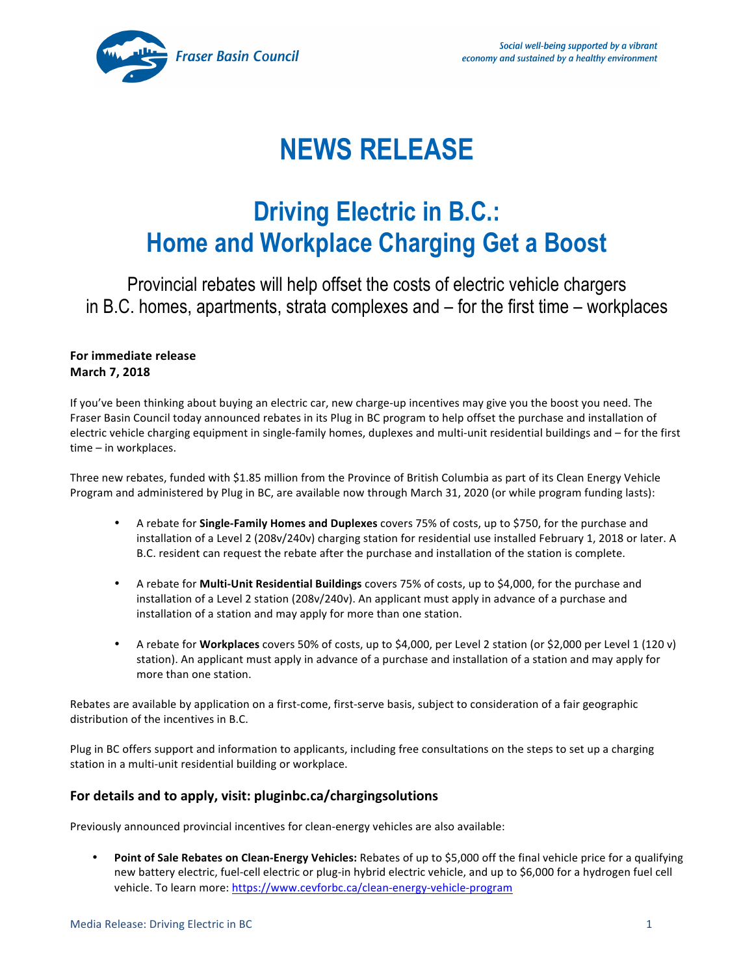

# **NEWS RELEASE**

## **Driving Electric in B.C.: Home and Workplace Charging Get a Boost**

Provincial rebates will help offset the costs of electric vehicle chargers in B.C. homes, apartments, strata complexes and – for the first time – workplaces

#### **For immediate release March 7, 2018**

If you've been thinking about buying an electric car, new charge-up incentives may give you the boost you need. The Fraser Basin Council today announced rebates in its Plug in BC program to help offset the purchase and installation of electric vehicle charging equipment in single-family homes, duplexes and multi-unit residential buildings and – for the first time - in workplaces.

Three new rebates, funded with \$1.85 million from the Province of British Columbia as part of its Clean Energy Vehicle Program and administered by Plug in BC, are available now through March 31, 2020 (or while program funding lasts):

- A rebate for **Single-Family Homes and Duplexes** covers 75% of costs, up to \$750, for the purchase and installation of a Level 2 (208v/240v) charging station for residential use installed February 1, 2018 or later. A B.C. resident can request the rebate after the purchase and installation of the station is complete.
- A rebate for **Multi-Unit Residential Buildings** covers 75% of costs, up to \$4,000, for the purchase and installation of a Level 2 station (208v/240v). An applicant must apply in advance of a purchase and installation of a station and may apply for more than one station.
- A rebate for **Workplaces** covers 50% of costs, up to \$4,000, per Level 2 station (or \$2,000 per Level 1 (120 v) station). An applicant must apply in advance of a purchase and installation of a station and may apply for more than one station.

Rebates are available by application on a first-come, first-serve basis, subject to consideration of a fair geographic distribution of the incentives in B.C.

Plug in BC offers support and information to applicants, including free consultations on the steps to set up a charging station in a multi-unit residential building or workplace.

### For details and to apply, visit: pluginbc.ca/chargingsolutions

Previously announced provincial incentives for clean-energy vehicles are also available:

Point of Sale Rebates on Clean-Energy Vehicles: Rebates of up to \$5,000 off the final vehicle price for a qualifying new battery electric, fuel-cell electric or plug-in hybrid electric vehicle, and up to \$6,000 for a hydrogen fuel cell vehicle. To learn more: https://www.cevforbc.ca/clean-energy-vehicle-program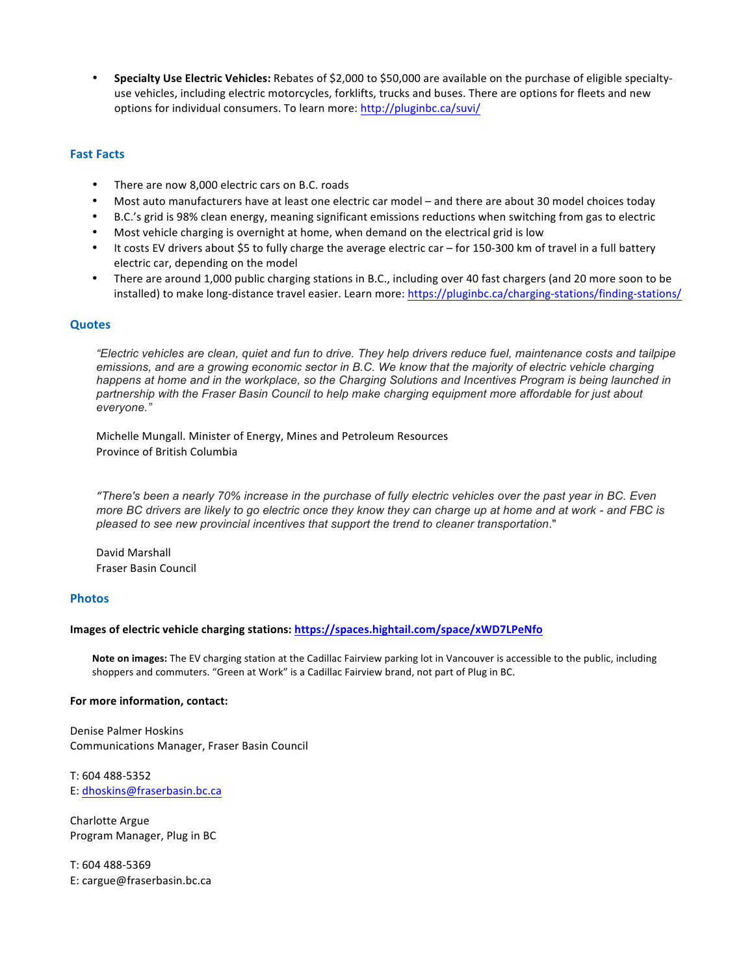• Specialty Use Electric Vehicles: Rebates of \$2,000 to \$50,000 are available on the purchase of eligible specialtyuse vehicles, including electric motorcycles, forklifts, trucks and buses. There are options for fleets and new options for individual consumers. To learn more: http://pluginbc.ca/suvi/

#### **Fast Facts**

- There are now 8,000 electric cars on B.C. roads
- Most auto manufacturers have at least one electric car model and there are about 30 model choices today
- B.C.'s grid is 98% clean energy, meaning significant emissions reductions when switching from gas to electric
- Most vehicle charging is overnight at home, when demand on the electrical grid is low
- It costs EV drivers about \$5 to fully charge the average electric car for 150-300 km of travel in a full battery electric car, depending on the model
- There are around 1,000 public charging stations in B.C., including over 40 fast chargers (and 20 more soon to be installed) to make long-distance travel easier. Learn more: https://pluginbc.ca/charging-stations/finding-stations/

#### **Quotes**

*"Electric vehicles are clean, quiet and fun to drive. They help drivers reduce fuel, maintenance costs and tailpipe emissions, and are a growing economic sector in B.C. We know that the majority of electric vehicle charging happens at home and in the workplace, so the Charging Solutions and Incentives Program is being launched in partnership with the Fraser Basin Council to help make charging equipment more affordable for just about everyone."*

Michelle Mungall. Minister of Energy, Mines and Petroleum Resources Province of British Columbia

*"There's been a nearly 70% increase in the purchase of fully electric vehicles over the past year in BC. Even more BC drivers are likely to go electric once they know they can charge up at home and at work - and FBC is pleased to see new provincial incentives that support the trend to cleaner transportation*."

David Marshall Fraser Basin Council

#### **Photos**

#### **Images of electric vehicle charging stations:<https://spaces.hightail.com/space/xWD7LPeNfo>**

Note on images: The EV charging station at the Cadillac Fairview parking lot in Vancouver is accessible to the public, including shoppers and commuters. "Green at Work" is a Cadillac Fairview brand, not part of Plug in BC.

#### For more information, contact:

Denise Palmer Hoskins Communications Manager, Fraser Basin Council

T: 604 488-5352 E: [dhoskins@fraserbasin.bc.ca](mailto:dhoskins@fraserbasin.bc.ca)

Charlotte Argue Program Manager, Plug in BC

T: 604 488-5369 E: cargue@fraserbasin.bc.ca